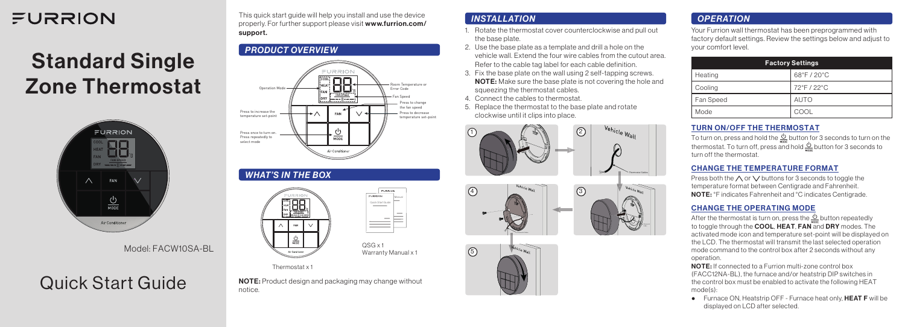# FURRION

# Standard Single Zone Thermostat



Model: FACW10SA-BL

# Quick Start Guide

This quick start guide will help you install and use the device properly. For further support please visit www.furrion.com/ support.

## *PRODUCT OVERVIEW*



#### *WHAT'S IN THE BOX*

| RRION<br>--------<br>COOL<br>HEAT<br>FAN<br><b>FAN SPEED</b><br>DRY<br>--------- <del>-</del> ----- | FURRION<br>FURRION<br>Manual<br>Quick Start Guide |
|-----------------------------------------------------------------------------------------------------|---------------------------------------------------|
| FAN                                                                                                 |                                                   |
| MODE<br>Air Conditioner                                                                             | $QSG \times 1$<br>Warranty Manual x 1             |

#### Thermostat x 1

NOTE: Product design and packaging may change without notice.

#### *INSTALLATION*

- 1. Rotate the thermostat cover counterclockwise and pull out the base plate.
- 2. Use the base plate as a template and drill a hole on the vehicle wall. Extend the four wire cables from the cutout area. Refer to the cable tag label for each cable definition.
- 3. Fix the base plate on the wall using 2 self-tapping screws. **NOTE:** Make sure the base plate is not covering the hole and squeezing the thermostat cables.
- 4. Connect the cables to thermostat.
- 5. Replace the thermostat to the base plate and rotate clockwise until it clips into place.







### *OPERATION*

Your Furrion wall thermostat has been preprogrammed with factory default settings. Review the settings below and adjust to your comfort level.

| <b>Factory Settings</b> |             |  |
|-------------------------|-------------|--|
| Heating                 | 68°F/20°C   |  |
| Cooling                 | 72°F/22°C   |  |
| Fan Speed               | <b>AUTO</b> |  |
| Mode                    | COOL        |  |

#### TURN ON/OFF THE THERMOSTAT

To turn on, press and hold the  $\frac{0}{2}$  button for 3 seconds to turn on the thermostat. To turn off, press and hold  $\stackrel{\mathsf{L}}{\triangle}$  button for 3 seconds to turn off the thermostat.

#### CHANGE THE TEMPERATURE FORMAT

Press both the  $\wedge$  or  $\vee$  buttons for 3 seconds to toggle the temperature format between Centigrade and Fahrenheit. NOTE: °F indicates Fahrenheit and °C indicates Centigrade.

#### CHANGE THE OPERATING MODE

After the thermostat is turn on, press the  $\frac{0}{2}$  button repeatedly to toggle through the **COOL, HEAT, FAN** and **DRY** modes. The activated mode icon and temperature set-point will be displayed on the LCD. The thermostat will transmit the last selected operation mode command to the control box after 2 seconds without any operation.

NOTE: If connected to a Furrion multi-zone control box (FACC12NA-BL), the furnace and/or heatstrip DIP switches in the control box must be enabled to activate the following HEAT mode(s):

● Furnace ON, Heatstrip OFF - Furnace heat only, HEAT F will be displayed on LCD after selected.